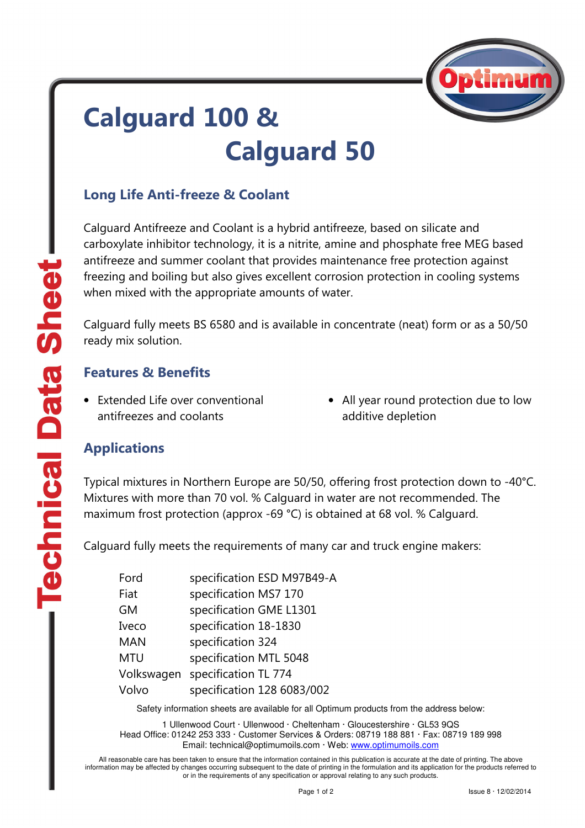

# Calguard 100 & Calguard 50

### Long Life Anti-freeze & Coolant

Calguard Antifreeze and Coolant is a hybrid antifreeze, based on silicate and carboxylate inhibitor technology, it is a nitrite, amine and phosphate free MEG based antifreeze and summer coolant that provides maintenance free protection against freezing and boiling but also gives excellent corrosion protection in cooling systems when mixed with the appropriate amounts of water.

Calguard fully meets BS 6580 and is available in concentrate (neat) form or as a 50/50 ready mix solution.

#### Features & Benefits

- Extended Life over conventional antifreezes and coolants
- All year round protection due to low additive depletion

#### Applications

Typical mixtures in Northern Europe are 50/50, offering frost protection down to -40°C. Mixtures with more than 70 vol. % Calguard in water are not recommended. The maximum frost protection (approx -69 °C) is obtained at 68 vol. % Calguard.

Calguard fully meets the requirements of many car and truck engine makers:

| Ford       | specification ESD M97B49-A |
|------------|----------------------------|
| Fiat       | specification MS7 170      |
| <b>GM</b>  | specification GME L1301    |
| Iveco      | specification 18-1830      |
| <b>MAN</b> | specification 324          |
| MTU        | specification MTL 5048     |
| Volkswagen | specification TL 774       |
| Volvo      | specification 128 6083/002 |

Safety information sheets are available for all Optimum products from the address below:

1 Ullenwood Court · Ullenwood · Cheltenham · Gloucestershire · GL53 9QS Head Office: 01242 253 333 · Customer Services & Orders: 08719 188 881 · Fax: 08719 189 998 Email: technical@optimumoils.com · Web: www.optimumoils.com

All reasonable care has been taken to ensure that the information contained in this publication is accurate at the date of printing. The above information may be affected by changes occurring subsequent to the date of printing in the formulation and its application for the products referred to or in the requirements of any specification or approval relating to any such products.